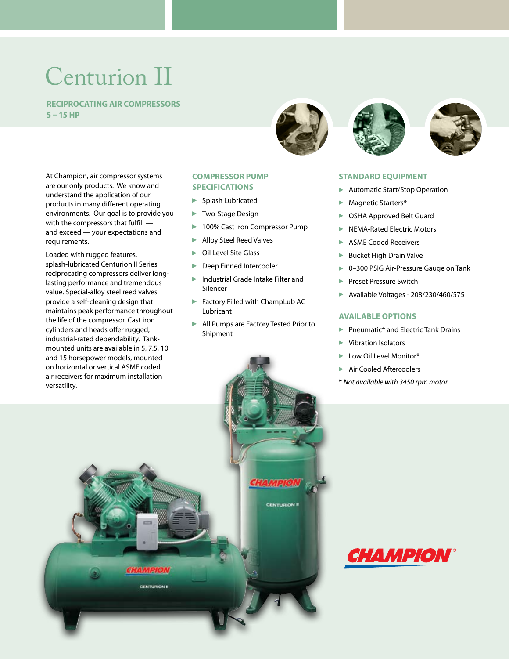# Centurion II

 **Reciprocating Air Compressors 5 – 15 HP**

At Champion, air compressor systems are our only products. We know and understand the application of our products in many different operating environments. Our goal is to provide you with the compressors that fulfill and exceed — your expectations and requirements.

Loaded with rugged features, splash-lubricated Centurion II Series reciprocating compressors deliver longlasting performance and tremendous value. Special-alloy steel reed valves provide a self-cleaning design that maintains peak performance throughout the life of the compressor. Cast iron cylinders and heads offer rugged, industrial-rated dependability. Tankmounted units are available in 5, 7.5, 10

## **Compressor Pump Specifications**

- **Splash Lubricated**
- ▶ Two-Stage Design
- ▶ 100% Cast Iron Compressor Pump
- Alloy Steel Reed Valves
- ▶ Oil Level Site Glass
- **Deep Finned Intercooler**
- Industrial Grade Intake Filter and Silencer
- **Factory Filled with ChampLub AC** Lubricant
- All Pumps are Factory Tested Prior to Shipment







#### **Standard Equipment**

- **Automatic Start/Stop Operation**
- Magnetic Starters\*
- ▶ OSHA Approved Belt Guard
- NEMA-Rated Electric Motors
- ASME Coded Receivers
- **Bucket High Drain Valve**
- ▶ 0-300 PSIG Air-Pressure Gauge on Tank
- Preset Pressure Switch
- Available Voltages 208/230/460/575

## **Available Options**

- **Pheumatic\* and Electric Tank Drains**
- Vibration Isolators
- **Low Oil Level Monitor\***
- Air Cooled Aftercoolers
- \* *Not available with 3450 rpm motor*